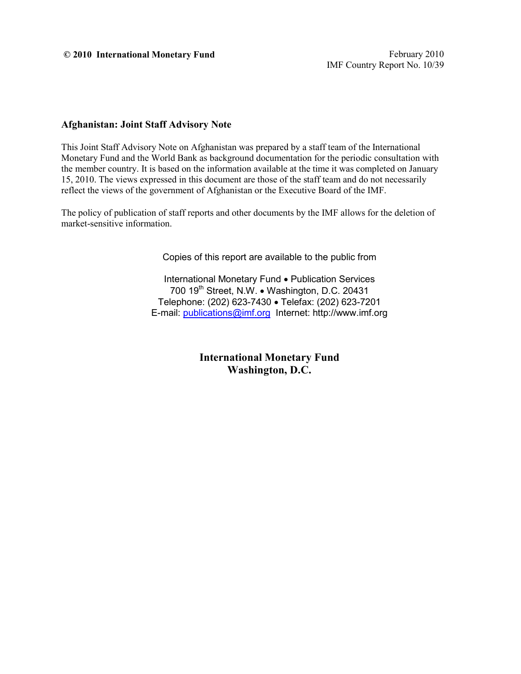#### **© 2010 International Monetary Fund** February 2010

#### **Afghanistan: Joint Staff Advisory Note**

This Joint Staff Advisory Note on Afghanistan was prepared by a staff team of the International Monetary Fund and the World Bank as background documentation for the periodic consultation with the member country. It is based on the information available at the time it was completed on January 15, 2010. The views expressed in this document are those of the staff team and do not necessarily reflect the views of the government of Afghanistan or the Executive Board of the IMF.

The policy of publication of staff reports and other documents by the IMF allows for the deletion of market-sensitive information.

Copies of this report are available to the public from

International Monetary Fund • Publication Services 700 19<sup>th</sup> Street, N.W. • Washington, D.C. 20431 Telephone: (202) 623-7430 • Telefax: (202) 623-7201 E-mail: [publications@imf.org](mailto:publications@imf.org) Internet: http://www.imf.org

> **International Monetary Fund Washington, D.C.**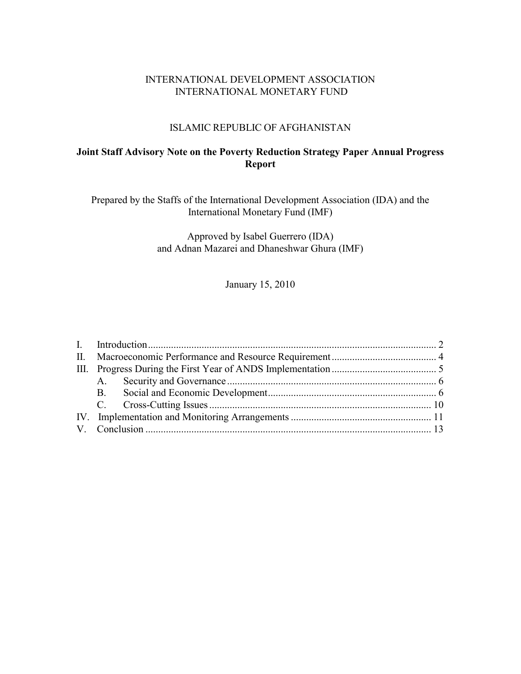#### INTERNATIONAL DEVELOPMENT ASSOCIATION INTERNATIONAL MONETARY FUND

#### ISLAMIC REPUBLIC OF AFGHANISTAN

### **Joint Staff Advisory Note on the Poverty Reduction Strategy Paper Annual Progress Report**

Prepared by the Staffs of the International Development Association (IDA) and the International Monetary Fund (IMF)

> Approved by Isabel Guerrero (IDA) and Adnan Mazarei and Dhaneshwar Ghura (IMF)

> > January 15, 2010

|  | <b>B</b> . |  |  |
|--|------------|--|--|
|  |            |  |  |
|  |            |  |  |
|  |            |  |  |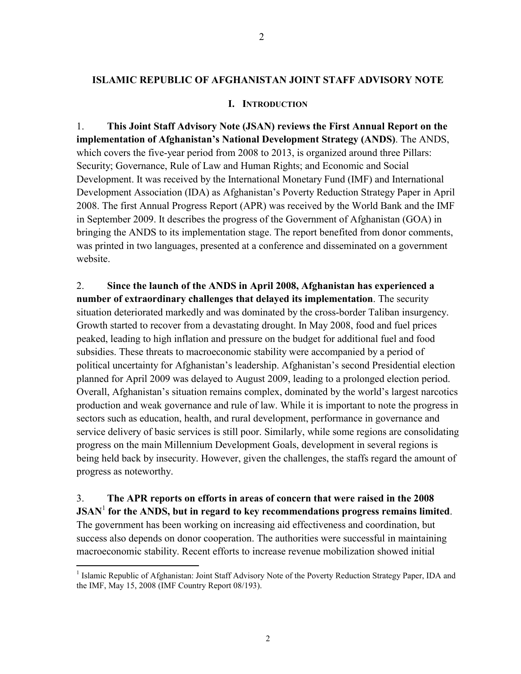#### **ISLAMIC REPUBLIC OF AFGHANISTAN JOINT STAFF ADVISORY NOTE**

#### **I. INTRODUCTION**

1. **This Joint Staff Advisory Note (JSAN) reviews the First Annual Report on the implementation of Afghanistan's National Development Strategy (ANDS)**. The ANDS, which covers the five-year period from 2008 to 2013, is organized around three Pillars: Security; Governance, Rule of Law and Human Rights; and Economic and Social Development. It was received by the International Monetary Fund (IMF) and International Development Association (IDA) as Afghanistan's Poverty Reduction Strategy Paper in April 2008. The first Annual Progress Report (APR) was received by the World Bank and the IMF in September 2009. It describes the progress of the Government of Afghanistan (GOA) in bringing the ANDS to its implementation stage. The report benefited from donor comments, was printed in two languages, presented at a conference and disseminated on a government website.

2. **Since the launch of the ANDS in April 2008, Afghanistan has experienced a number of extraordinary challenges that delayed its implementation**. The security situation deteriorated markedly and was dominated by the cross-border Taliban insurgency. Growth started to recover from a devastating drought. In May 2008, food and fuel prices peaked, leading to high inflation and pressure on the budget for additional fuel and food subsidies. These threats to macroeconomic stability were accompanied by a period of political uncertainty for Afghanistan's leadership. Afghanistan's second Presidential election planned for April 2009 was delayed to August 2009, leading to a prolonged election period. Overall, Afghanistan's situation remains complex, dominated by the world's largest narcotics production and weak governance and rule of law. While it is important to note the progress in sectors such as education, health, and rural development, performance in governance and service delivery of basic services is still poor. Similarly, while some regions are consolidating progress on the main Millennium Development Goals, development in several regions is being held back by insecurity. However, given the challenges, the staffs regard the amount of progress as noteworthy.

3. **The APR reports on efforts in areas of concern that were raised in the 2008 JSAN**<sup>1</sup> **for the ANDS, but in regard to key recommendations progress remains limited**. The government has been working on increasing aid effectiveness and coordination, but success also depends on donor cooperation. The authorities were successful in maintaining macroeconomic stability. Recent efforts to increase revenue mobilization showed initial

<sup>&</sup>lt;sup>1</sup> Islamic Republic of Afghanistan: Joint Staff Advisory Note of the Poverty Reduction Strategy Paper, IDA and the IMF, May 15, 2008 (IMF Country Report 08/193).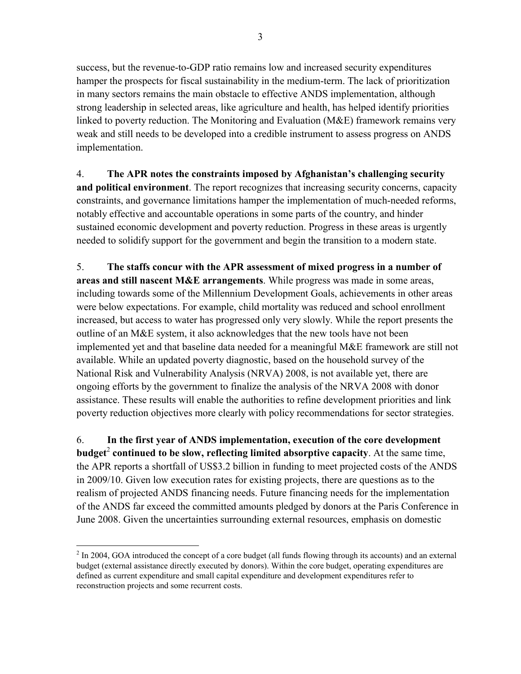success, but the revenue-to-GDP ratio remains low and increased security expenditures hamper the prospects for fiscal sustainability in the medium-term. The lack of prioritization in many sectors remains the main obstacle to effective ANDS implementation, although strong leadership in selected areas, like agriculture and health, has helped identify priorities linked to poverty reduction. The Monitoring and Evaluation (M&E) framework remains very weak and still needs to be developed into a credible instrument to assess progress on ANDS implementation.

4. **The APR notes the constraints imposed by Afghanistan's challenging security and political environment**. The report recognizes that increasing security concerns, capacity constraints, and governance limitations hamper the implementation of much-needed reforms, notably effective and accountable operations in some parts of the country, and hinder sustained economic development and poverty reduction. Progress in these areas is urgently needed to solidify support for the government and begin the transition to a modern state.

5. **The staffs concur with the APR assessment of mixed progress in a number of areas and still nascent M&E arrangements**. While progress was made in some areas, including towards some of the Millennium Development Goals, achievements in other areas were below expectations. For example, child mortality was reduced and school enrollment increased, but access to water has progressed only very slowly. While the report presents the outline of an M&E system, it also acknowledges that the new tools have not been implemented yet and that baseline data needed for a meaningful M&E framework are still not available. While an updated poverty diagnostic, based on the household survey of the National Risk and Vulnerability Analysis (NRVA) 2008, is not available yet, there are ongoing efforts by the government to finalize the analysis of the NRVA 2008 with donor assistance. These results will enable the authorities to refine development priorities and link poverty reduction objectives more clearly with policy recommendations for sector strategies.

6. **In the first year of ANDS implementation, execution of the core development budget**<sup>2</sup> **continued to be slow, reflecting limited absorptive capacity**. At the same time, the APR reports a shortfall of US\$3.2 billion in funding to meet projected costs of the ANDS in 2009/10. Given low execution rates for existing projects, there are questions as to the realism of projected ANDS financing needs. Future financing needs for the implementation of the ANDS far exceed the committed amounts pledged by donors at the Paris Conference in June 2008. Given the uncertainties surrounding external resources, emphasis on domestic

 $2 \text{ In } 2004$ , GOA introduced the concept of a core budget (all funds flowing through its accounts) and an external budget (external assistance directly executed by donors). Within the core budget, operating expenditures are defined as current expenditure and small capital expenditure and development expenditures refer to reconstruction projects and some recurrent costs.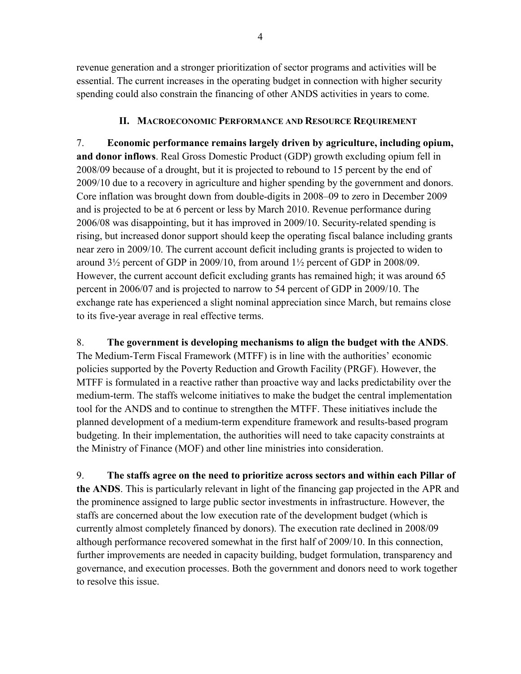revenue generation and a stronger prioritization of sector programs and activities will be essential. The current increases in the operating budget in connection with higher security spending could also constrain the financing of other ANDS activities in years to come.

#### **II. MACROECONOMIC PERFORMANCE AND RESOURCE REQUIREMENT**

7. **Economic performance remains largely driven by agriculture, including opium, and donor inflows**. Real Gross Domestic Product (GDP) growth excluding opium fell in 2008/09 because of a drought, but it is projected to rebound to 15 percent by the end of 2009/10 due to a recovery in agriculture and higher spending by the government and donors. Core inflation was brought down from double-digits in 2008–09 to zero in December 2009 and is projected to be at 6 percent or less by March 2010. Revenue performance during 2006/08 was disappointing, but it has improved in 2009/10. Security-related spending is rising, but increased donor support should keep the operating fiscal balance including grants near zero in 2009/10. The current account deficit including grants is projected to widen to around 3½ percent of GDP in 2009/10, from around 1½ percent of GDP in 2008/09. However, the current account deficit excluding grants has remained high; it was around 65 percent in 2006/07 and is projected to narrow to 54 percent of GDP in 2009/10. The exchange rate has experienced a slight nominal appreciation since March, but remains close to its five-year average in real effective terms.

8. **The government is developing mechanisms to align the budget with the ANDS**. The Medium-Term Fiscal Framework (MTFF) is in line with the authorities' economic policies supported by the Poverty Reduction and Growth Facility (PRGF). However, the MTFF is formulated in a reactive rather than proactive way and lacks predictability over the medium-term. The staffs welcome initiatives to make the budget the central implementation tool for the ANDS and to continue to strengthen the MTFF. These initiatives include the planned development of a medium-term expenditure framework and results-based program budgeting. In their implementation, the authorities will need to take capacity constraints at the Ministry of Finance (MOF) and other line ministries into consideration.

9. **The staffs agree on the need to prioritize across sectors and within each Pillar of the ANDS**. This is particularly relevant in light of the financing gap projected in the APR and the prominence assigned to large public sector investments in infrastructure. However, the staffs are concerned about the low execution rate of the development budget (which is currently almost completely financed by donors). The execution rate declined in 2008/09 although performance recovered somewhat in the first half of 2009/10. In this connection, further improvements are needed in capacity building, budget formulation, transparency and governance, and execution processes. Both the government and donors need to work together to resolve this issue.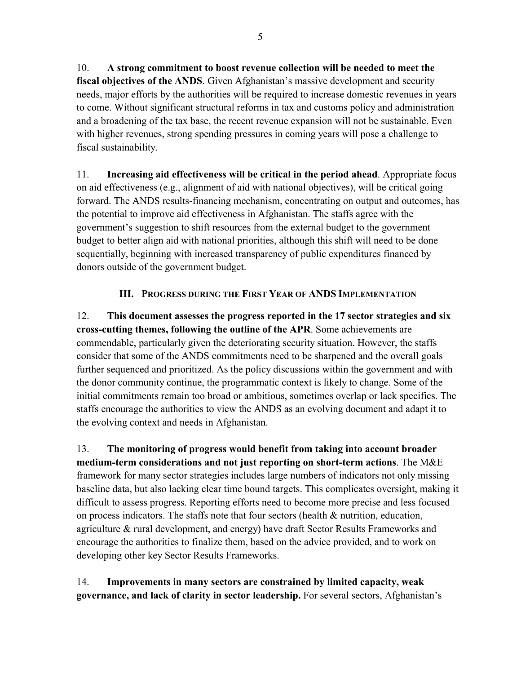10. **A strong commitment to boost revenue collection will be needed to meet the fiscal objectives of the ANDS**. Given Afghanistan's massive development and security needs, major efforts by the authorities will be required to increase domestic revenues in years to come. Without significant structural reforms in tax and customs policy and administration and a broadening of the tax base, the recent revenue expansion will not be sustainable. Even with higher revenues, strong spending pressures in coming years will pose a challenge to fiscal sustainability.

11. **Increasing aid effectiveness will be critical in the period ahead**. Appropriate focus on aid effectiveness (e.g., alignment of aid with national objectives), will be critical going forward. The ANDS results-financing mechanism, concentrating on output and outcomes, has the potential to improve aid effectiveness in Afghanistan. The staffs agree with the government's suggestion to shift resources from the external budget to the government budget to better align aid with national priorities, although this shift will need to be done sequentially, beginning with increased transparency of public expenditures financed by donors outside of the government budget.

# **III. PROGRESS DURING THE FIRST YEAR OF ANDS IMPLEMENTATION**

12. **This document assesses the progress reported in the 17 sector strategies and six cross-cutting themes, following the outline of the APR**. Some achievements are commendable, particularly given the deteriorating security situation. However, the staffs consider that some of the ANDS commitments need to be sharpened and the overall goals further sequenced and prioritized. As the policy discussions within the government and with the donor community continue, the programmatic context is likely to change. Some of the initial commitments remain too broad or ambitious, sometimes overlap or lack specifics. The staffs encourage the authorities to view the ANDS as an evolving document and adapt it to the evolving context and needs in Afghanistan.

13. **The monitoring of progress would benefit from taking into account broader medium-term considerations and not just reporting on short-term actions**. The M&E framework for many sector strategies includes large numbers of indicators not only missing baseline data, but also lacking clear time bound targets. This complicates oversight, making it difficult to assess progress. Reporting efforts need to become more precise and less focused on process indicators. The staffs note that four sectors (health & nutrition, education, agriculture & rural development, and energy) have draft Sector Results Frameworks and encourage the authorities to finalize them, based on the advice provided, and to work on developing other key Sector Results Frameworks.

14. **Improvements in many sectors are constrained by limited capacity, weak governance, and lack of clarity in sector leadership.** For several sectors, Afghanistan's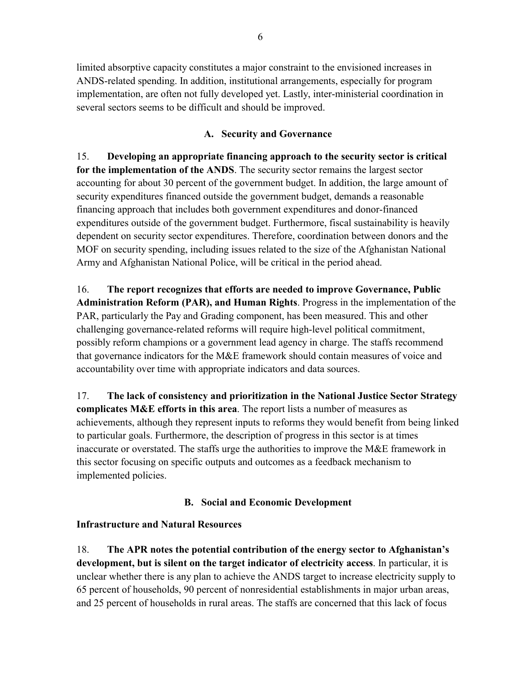limited absorptive capacity constitutes a major constraint to the envisioned increases in ANDS-related spending. In addition, institutional arrangements, especially for program implementation, are often not fully developed yet. Lastly, inter-ministerial coordination in several sectors seems to be difficult and should be improved.

### **A. Security and Governance**

15. **Developing an appropriate financing approach to the security sector is critical for the implementation of the ANDS**. The security sector remains the largest sector accounting for about 30 percent of the government budget. In addition, the large amount of security expenditures financed outside the government budget, demands a reasonable financing approach that includes both government expenditures and donor-financed expenditures outside of the government budget. Furthermore, fiscal sustainability is heavily dependent on security sector expenditures. Therefore, coordination between donors and the MOF on security spending, including issues related to the size of the Afghanistan National Army and Afghanistan National Police, will be critical in the period ahead.

16. **The report recognizes that efforts are needed to improve Governance, Public Administration Reform (PAR), and Human Rights**. Progress in the implementation of the PAR, particularly the Pay and Grading component, has been measured. This and other challenging governance-related reforms will require high-level political commitment, possibly reform champions or a government lead agency in charge. The staffs recommend that governance indicators for the M&E framework should contain measures of voice and accountability over time with appropriate indicators and data sources.

17. **The lack of consistency and prioritization in the National Justice Sector Strategy complicates M&E efforts in this area**. The report lists a number of measures as achievements, although they represent inputs to reforms they would benefit from being linked to particular goals. Furthermore, the description of progress in this sector is at times inaccurate or overstated. The staffs urge the authorities to improve the M&E framework in this sector focusing on specific outputs and outcomes as a feedback mechanism to implemented policies.

# **B. Social and Economic Development**

# **Infrastructure and Natural Resources**

18. **The APR notes the potential contribution of the energy sector to Afghanistan's development, but is silent on the target indicator of electricity access**. In particular, it is unclear whether there is any plan to achieve the ANDS target to increase electricity supply to 65 percent of households, 90 percent of nonresidential establishments in major urban areas, and 25 percent of households in rural areas. The staffs are concerned that this lack of focus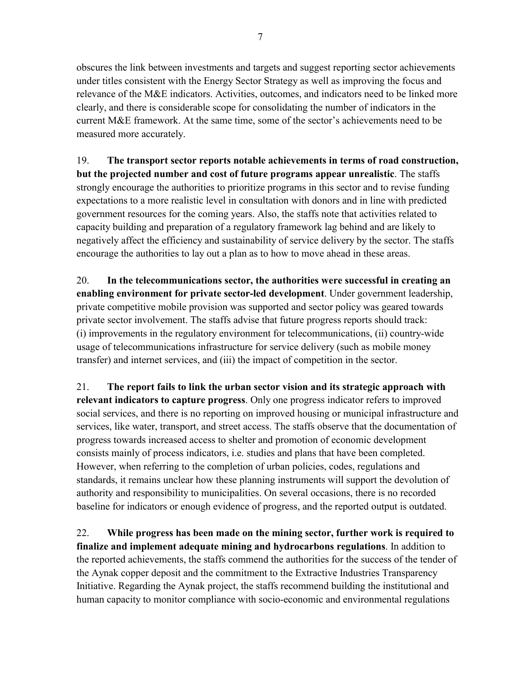obscures the link between investments and targets and suggest reporting sector achievements under titles consistent with the Energy Sector Strategy as well as improving the focus and relevance of the M&E indicators. Activities, outcomes, and indicators need to be linked more clearly, and there is considerable scope for consolidating the number of indicators in the current M&E framework. At the same time, some of the sector's achievements need to be measured more accurately.

19. **The transport sector reports notable achievements in terms of road construction, but the projected number and cost of future programs appear unrealistic**. The staffs strongly encourage the authorities to prioritize programs in this sector and to revise funding expectations to a more realistic level in consultation with donors and in line with predicted government resources for the coming years. Also, the staffs note that activities related to capacity building and preparation of a regulatory framework lag behind and are likely to negatively affect the efficiency and sustainability of service delivery by the sector. The staffs encourage the authorities to lay out a plan as to how to move ahead in these areas.

20. **In the telecommunications sector, the authorities were successful in creating an enabling environment for private sector-led development**. Under government leadership, private competitive mobile provision was supported and sector policy was geared towards private sector involvement. The staffs advise that future progress reports should track: (i) improvements in the regulatory environment for telecommunications, (ii) country-wide usage of telecommunications infrastructure for service delivery (such as mobile money transfer) and internet services, and (iii) the impact of competition in the sector.

21. **The report fails to link the urban sector vision and its strategic approach with relevant indicators to capture progress**. Only one progress indicator refers to improved social services, and there is no reporting on improved housing or municipal infrastructure and services, like water, transport, and street access. The staffs observe that the documentation of progress towards increased access to shelter and promotion of economic development consists mainly of process indicators, i.e. studies and plans that have been completed. However, when referring to the completion of urban policies, codes, regulations and standards, it remains unclear how these planning instruments will support the devolution of authority and responsibility to municipalities. On several occasions, there is no recorded baseline for indicators or enough evidence of progress, and the reported output is outdated.

22. **While progress has been made on the mining sector, further work is required to finalize and implement adequate mining and hydrocarbons regulations**. In addition to the reported achievements, the staffs commend the authorities for the success of the tender of the Aynak copper deposit and the commitment to the Extractive Industries Transparency Initiative. Regarding the Aynak project, the staffs recommend building the institutional and human capacity to monitor compliance with socio-economic and environmental regulations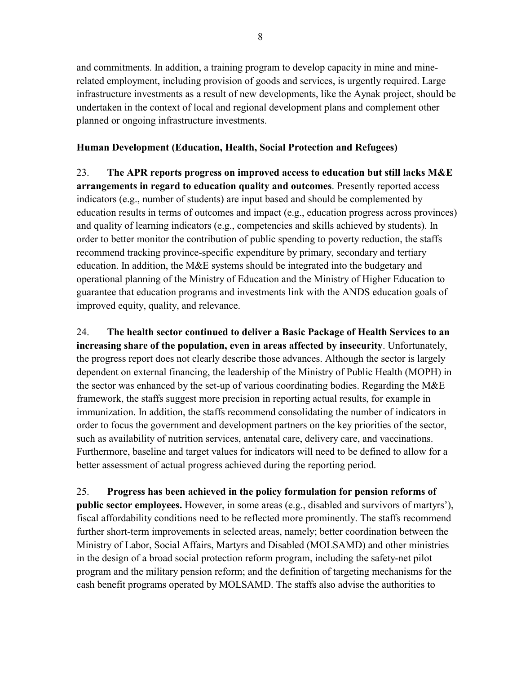and commitments. In addition, a training program to develop capacity in mine and minerelated employment, including provision of goods and services, is urgently required. Large infrastructure investments as a result of new developments, like the Aynak project, should be undertaken in the context of local and regional development plans and complement other planned or ongoing infrastructure investments.

# **Human Development (Education, Health, Social Protection and Refugees)**

23. **The APR reports progress on improved access to education but still lacks M&E arrangements in regard to education quality and outcomes**. Presently reported access indicators (e.g., number of students) are input based and should be complemented by education results in terms of outcomes and impact (e.g., education progress across provinces) and quality of learning indicators (e.g., competencies and skills achieved by students). In order to better monitor the contribution of public spending to poverty reduction, the staffs recommend tracking province-specific expenditure by primary, secondary and tertiary education. In addition, the M&E systems should be integrated into the budgetary and operational planning of the Ministry of Education and the Ministry of Higher Education to guarantee that education programs and investments link with the ANDS education goals of improved equity, quality, and relevance.

24. **The health sector continued to deliver a Basic Package of Health Services to an increasing share of the population, even in areas affected by insecurity**. Unfortunately, the progress report does not clearly describe those advances. Although the sector is largely dependent on external financing, the leadership of the Ministry of Public Health (MOPH) in the sector was enhanced by the set-up of various coordinating bodies. Regarding the M&E framework, the staffs suggest more precision in reporting actual results, for example in immunization. In addition, the staffs recommend consolidating the number of indicators in order to focus the government and development partners on the key priorities of the sector, such as availability of nutrition services, antenatal care, delivery care, and vaccinations. Furthermore, baseline and target values for indicators will need to be defined to allow for a better assessment of actual progress achieved during the reporting period.

25. **Progress has been achieved in the policy formulation for pension reforms of public sector employees.** However, in some areas (e.g., disabled and survivors of martyrs'), fiscal affordability conditions need to be reflected more prominently. The staffs recommend further short-term improvements in selected areas, namely; better coordination between the Ministry of Labor, Social Affairs, Martyrs and Disabled (MOLSAMD) and other ministries in the design of a broad social protection reform program, including the safety-net pilot program and the military pension reform; and the definition of targeting mechanisms for the cash benefit programs operated by MOLSAMD. The staffs also advise the authorities to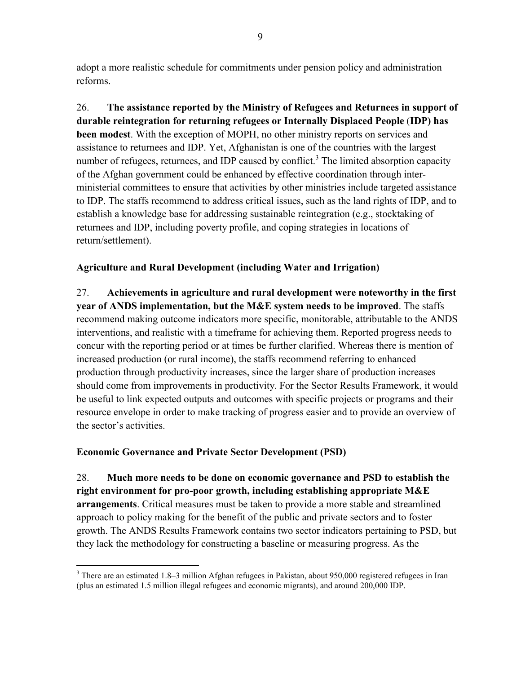adopt a more realistic schedule for commitments under pension policy and administration reforms.

26. **The assistance reported by the Ministry of Refugees and Returnees in support of durable reintegration for returning refugees or Internally Displaced People** (**IDP) has been modest**. With the exception of MOPH, no other ministry reports on services and assistance to returnees and IDP. Yet, Afghanistan is one of the countries with the largest number of refugees, returnees, and IDP caused by conflict.<sup>3</sup> The limited absorption capacity of the Afghan government could be enhanced by effective coordination through interministerial committees to ensure that activities by other ministries include targeted assistance to IDP. The staffs recommend to address critical issues, such as the land rights of IDP, and to establish a knowledge base for addressing sustainable reintegration (e.g., stocktaking of returnees and IDP, including poverty profile, and coping strategies in locations of return/settlement).

# **Agriculture and Rural Development (including Water and Irrigation)**

27. **Achievements in agriculture and rural development were noteworthy in the first year of ANDS implementation, but the M&E system needs to be improved**. The staffs recommend making outcome indicators more specific, monitorable, attributable to the ANDS interventions, and realistic with a timeframe for achieving them. Reported progress needs to concur with the reporting period or at times be further clarified. Whereas there is mention of increased production (or rural income), the staffs recommend referring to enhanced production through productivity increases, since the larger share of production increases should come from improvements in productivity. For the Sector Results Framework, it would be useful to link expected outputs and outcomes with specific projects or programs and their resource envelope in order to make tracking of progress easier and to provide an overview of the sector's activities.

# **Economic Governance and Private Sector Development (PSD)**

28. **Much more needs to be done on economic governance and PSD to establish the right environment for pro-poor growth, including establishing appropriate M&E arrangements**. Critical measures must be taken to provide a more stable and streamlined approach to policy making for the benefit of the public and private sectors and to foster growth. The ANDS Results Framework contains two sector indicators pertaining to PSD, but they lack the methodology for constructing a baseline or measuring progress. As the

<sup>&</sup>lt;sup>3</sup> There are an estimated 1.8–3 million Afghan refugees in Pakistan, about 950,000 registered refugees in Iran (plus an estimated 1.5 million illegal refugees and economic migrants), and around 200,000 IDP.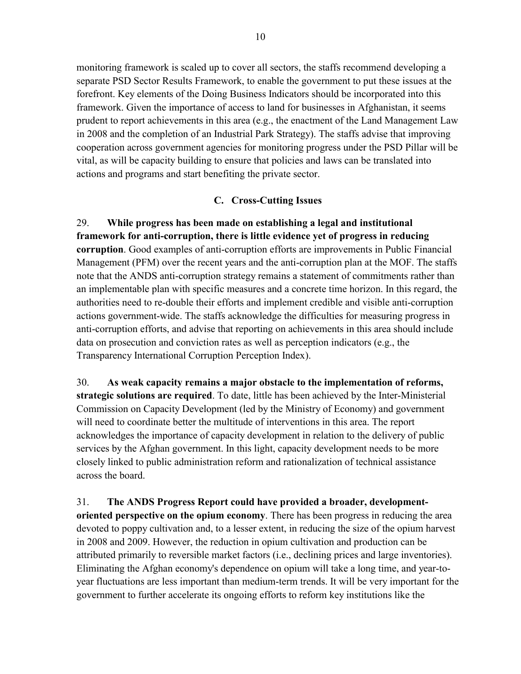monitoring framework is scaled up to cover all sectors, the staffs recommend developing a separate PSD Sector Results Framework, to enable the government to put these issues at the forefront. Key elements of the Doing Business Indicators should be incorporated into this framework. Given the importance of access to land for businesses in Afghanistan, it seems prudent to report achievements in this area (e.g., the enactment of the Land Management Law in 2008 and the completion of an Industrial Park Strategy). The staffs advise that improving cooperation across government agencies for monitoring progress under the PSD Pillar will be vital, as will be capacity building to ensure that policies and laws can be translated into actions and programs and start benefiting the private sector.

#### **C. Cross-Cutting Issues**

29. **While progress has been made on establishing a legal and institutional framework for anti-corruption, there is little evidence yet of progress in reducing corruption**. Good examples of anti-corruption efforts are improvements in Public Financial Management (PFM) over the recent years and the anti-corruption plan at the MOF. The staffs note that the ANDS anti-corruption strategy remains a statement of commitments rather than an implementable plan with specific measures and a concrete time horizon. In this regard, the authorities need to re-double their efforts and implement credible and visible anti-corruption actions government-wide. The staffs acknowledge the difficulties for measuring progress in anti-corruption efforts, and advise that reporting on achievements in this area should include data on prosecution and conviction rates as well as perception indicators (e.g., the Transparency International Corruption Perception Index).

30. **As weak capacity remains a major obstacle to the implementation of reforms, strategic solutions are required**. To date, little has been achieved by the Inter-Ministerial Commission on Capacity Development (led by the Ministry of Economy) and government will need to coordinate better the multitude of interventions in this area. The report acknowledges the importance of capacity development in relation to the delivery of public services by the Afghan government. In this light, capacity development needs to be more closely linked to public administration reform and rationalization of technical assistance across the board.

31. **The ANDS Progress Report could have provided a broader, developmentoriented perspective on the opium economy**. There has been progress in reducing the area devoted to poppy cultivation and, to a lesser extent, in reducing the size of the opium harvest in 2008 and 2009. However, the reduction in opium cultivation and production can be attributed primarily to reversible market factors (i.e., declining prices and large inventories). Eliminating the Afghan economy's dependence on opium will take a long time, and year-toyear fluctuations are less important than medium-term trends. It will be very important for the government to further accelerate its ongoing efforts to reform key institutions like the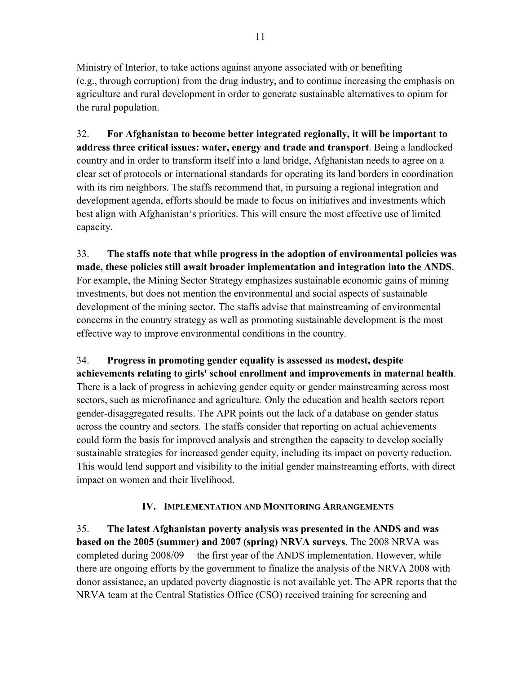Ministry of Interior, to take actions against anyone associated with or benefiting (e.g., through corruption) from the drug industry, and to continue increasing the emphasis on agriculture and rural development in order to generate sustainable alternatives to opium for the rural population.

32. **For Afghanistan to become better integrated regionally, it will be important to address three critical issues: water, energy and trade and transport**. Being a landlocked country and in order to transform itself into a land bridge, Afghanistan needs to agree on a clear set of protocols or international standards for operating its land borders in coordination with its rim neighbors. The staffs recommend that, in pursuing a regional integration and development agenda, efforts should be made to focus on initiatives and investments which best align with Afghanistan's priorities. This will ensure the most effective use of limited capacity.

33. **The staffs note that while progress in the adoption of environmental policies was made, these policies still await broader implementation and integration into the ANDS**. For example, the Mining Sector Strategy emphasizes sustainable economic gains of mining investments, but does not mention the environmental and social aspects of sustainable development of the mining sector. The staffs advise that mainstreaming of environmental concerns in the country strategy as well as promoting sustainable development is the most effective way to improve environmental conditions in the country.

34. **Progress in promoting gender equality is assessed as modest, despite achievements relating to girls' school enrollment and improvements in maternal health**. There is a lack of progress in achieving gender equity or gender mainstreaming across most sectors, such as microfinance and agriculture. Only the education and health sectors report gender-disaggregated results. The APR points out the lack of a database on gender status across the country and sectors. The staffs consider that reporting on actual achievements could form the basis for improved analysis and strengthen the capacity to develop socially sustainable strategies for increased gender equity, including its impact on poverty reduction. This would lend support and visibility to the initial gender mainstreaming efforts, with direct impact on women and their livelihood.

# **IV. IMPLEMENTATION AND MONITORING ARRANGEMENTS**

35. **The latest Afghanistan poverty analysis was presented in the ANDS and was based on the 2005 (summer) and 2007 (spring) NRVA surveys**. The 2008 NRVA was completed during 2008/09— the first year of the ANDS implementation. However, while there are ongoing efforts by the government to finalize the analysis of the NRVA 2008 with donor assistance, an updated poverty diagnostic is not available yet. The APR reports that the NRVA team at the Central Statistics Office (CSO) received training for screening and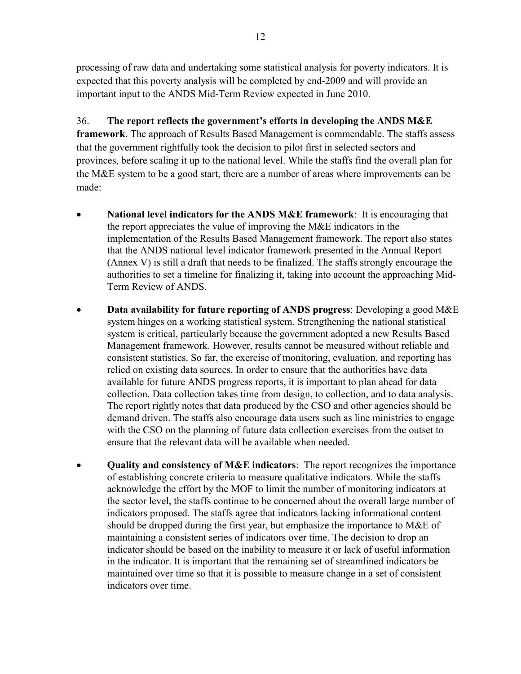processing of raw data and undertaking some statistical analysis for poverty indicators. It is expected that this poverty analysis will be completed by end-2009 and will provide an important input to the ANDS Mid-Term Review expected in June 2010.

36. **The report reflects the government's efforts in developing the ANDS M&E framework**. The approach of Results Based Management is commendable. The staffs assess that the government rightfully took the decision to pilot first in selected sectors and provinces, before scaling it up to the national level. While the staffs find the overall plan for the M&E system to be a good start, there are a number of areas where improvements can be made:

- · **National level indicators for the ANDS M&E framework**: It is encouraging that the report appreciates the value of improving the M&E indicators in the implementation of the Results Based Management framework. The report also states that the ANDS national level indicator framework presented in the Annual Report (Annex V) is still a draft that needs to be finalized. The staffs strongly encourage the authorities to set a timeline for finalizing it, taking into account the approaching Mid-Term Review of ANDS.
- · **Data availability for future reporting of ANDS progress**: Developing a good M&E system hinges on a working statistical system. Strengthening the national statistical system is critical, particularly because the government adopted a new Results Based Management framework. However, results cannot be measured without reliable and consistent statistics. So far, the exercise of monitoring, evaluation, and reporting has relied on existing data sources. In order to ensure that the authorities have data available for future ANDS progress reports, it is important to plan ahead for data collection. Data collection takes time from design, to collection, and to data analysis. The report rightly notes that data produced by the CSO and other agencies should be demand driven. The staffs also encourage data users such as line ministries to engage with the CSO on the planning of future data collection exercises from the outset to ensure that the relevant data will be available when needed.
- · **Quality and consistency of M&E indicators**: The report recognizes the importance of establishing concrete criteria to measure qualitative indicators. While the staffs acknowledge the effort by the MOF to limit the number of monitoring indicators at the sector level, the staffs continue to be concerned about the overall large number of indicators proposed. The staffs agree that indicators lacking informational content should be dropped during the first year, but emphasize the importance to M&E of maintaining a consistent series of indicators over time. The decision to drop an indicator should be based on the inability to measure it or lack of useful information in the indicator. It is important that the remaining set of streamlined indicators be maintained over time so that it is possible to measure change in a set of consistent indicators over time.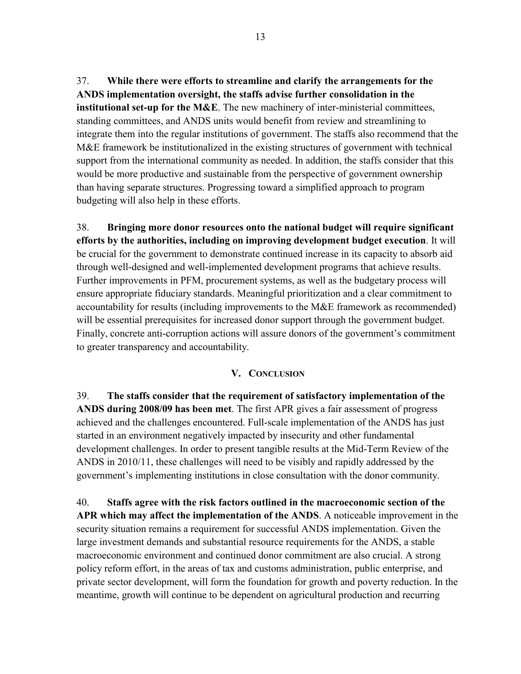37. **While there were efforts to streamline and clarify the arrangements for the ANDS implementation oversight, the staffs advise further consolidation in the institutional set-up for the M&E**. The new machinery of inter-ministerial committees, standing committees, and ANDS units would benefit from review and streamlining to integrate them into the regular institutions of government. The staffs also recommend that the M&E framework be institutionalized in the existing structures of government with technical support from the international community as needed. In addition, the staffs consider that this would be more productive and sustainable from the perspective of government ownership than having separate structures. Progressing toward a simplified approach to program budgeting will also help in these efforts.

38. **Bringing more donor resources onto the national budget will require significant efforts by the authorities, including on improving development budget execution**. It will be crucial for the government to demonstrate continued increase in its capacity to absorb aid through well-designed and well-implemented development programs that achieve results. Further improvements in PFM, procurement systems, as well as the budgetary process will ensure appropriate fiduciary standards. Meaningful prioritization and a clear commitment to accountability for results (including improvements to the M&E framework as recommended) will be essential prerequisites for increased donor support through the government budget. Finally, concrete anti-corruption actions will assure donors of the government's commitment to greater transparency and accountability.

#### **V. CONCLUSION**

39. **The staffs consider that the requirement of satisfactory implementation of the ANDS during 2008/09 has been met**. The first APR gives a fair assessment of progress achieved and the challenges encountered. Full-scale implementation of the ANDS has just started in an environment negatively impacted by insecurity and other fundamental development challenges. In order to present tangible results at the Mid-Term Review of the ANDS in 2010/11, these challenges will need to be visibly and rapidly addressed by the government's implementing institutions in close consultation with the donor community.

40. **Staffs agree with the risk factors outlined in the macroeconomic section of the APR which may affect the implementation of the ANDS**. A noticeable improvement in the security situation remains a requirement for successful ANDS implementation. Given the large investment demands and substantial resource requirements for the ANDS, a stable macroeconomic environment and continued donor commitment are also crucial. A strong policy reform effort, in the areas of tax and customs administration, public enterprise, and private sector development, will form the foundation for growth and poverty reduction. In the meantime, growth will continue to be dependent on agricultural production and recurring